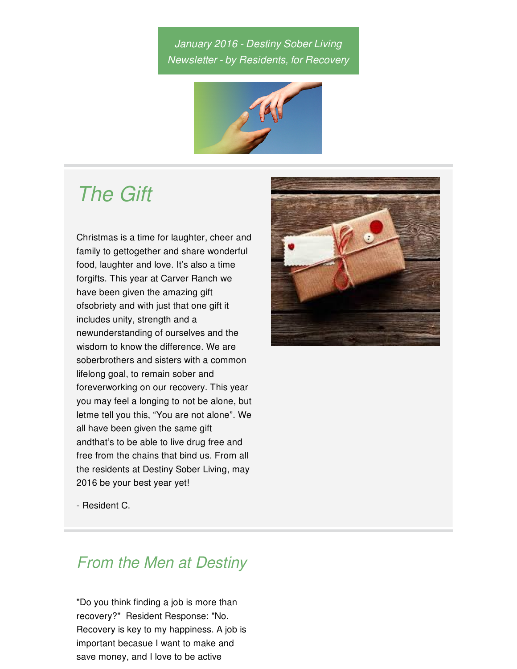## *January 2016 - Destiny Sober Living Newsletter - by Residents, for Recovery*



# *The Gift*

Christmas is a time for laughter, cheer and family to gettogether and share wonderful food, laughter and love. It's also a time forgifts. This year at Carver Ranch we have been given the amazing gift ofsobriety and with just that one gift it includes unity, strength and a newunderstanding of ourselves and the wisdom to know the difference. We are soberbrothers and sisters with a common lifelong goal, to remain sober and foreverworking on our recovery. This year you may feel a longing to not be alone, but letme tell you this, "You are not alone". We all have been given the same gift andthat's to be able to live drug free and free from the chains that bind us. From all the residents at Destiny Sober Living, may 2016 be your best year yet!



- Resident C.

# *From the Men at Destiny*

"Do you think finding a job is more than recovery?" Resident Response: "No. Recovery is key to my happiness. A job is important becasue I want to make and save money, and I love to be active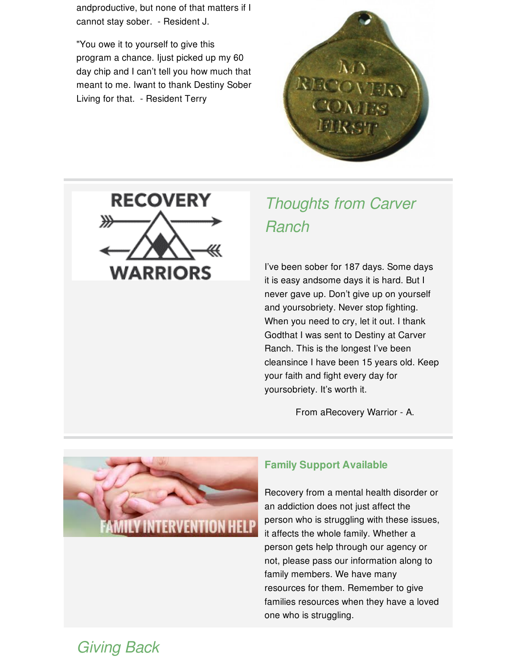andproductive, but none of that matters if I cannot stay sober. - Resident J.

"You owe it to yourself to give this program a chance. Ijust picked up my 60 day chip and I can't tell you how much that meant to me. Iwant to thank Destiny Sober Living for that. - Resident Terry





# *Thoughts from Carver Ranch*

I've been sober for 187 days. Some days it is easy andsome days it is hard. But I never gave up. Don't give up on yourself and yoursobriety. Never stop fighting. When you need to cry, let it out. I thank Godthat I was sent to Destiny at Carver Ranch. This is the longest I've been cleansince I have been 15 years old. Keep your faith and fight every day for yoursobriety. It's worth it.

From aRecovery Warrior - A.



### **Family Support Available**

Recovery from a mental health disorder or an addiction does not just affect the person who is struggling with these issues, it affects the whole family. Whether a person gets help through our agency or not, please pass our information along to family members. We have many resources for them. Remember to give families resources when they have a loved one who is struggling.

## *Giving Back*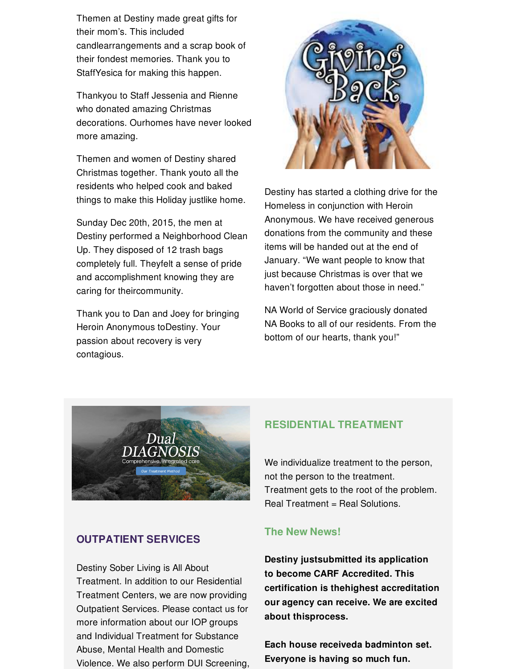Themen at Destiny made great gifts for their mom's. This included candlearrangements and a scrap book of their fondest memories. Thank you to StaffYesica for making this happen.

Thankyou to Staff Jessenia and Rienne who donated amazing Christmas decorations. Ourhomes have never looked more amazing.

Themen and women of Destiny shared Christmas together. Thank youto all the residents who helped cook and baked things to make this Holiday justlike home.

Sunday Dec 20th, 2015, the men at Destiny performed a Neighborhood Clean Up. They disposed of 12 trash bags completely full. Theyfelt a sense of pride and accomplishment knowing they are caring for theircommunity.

Thank you to Dan and Joey for bringing Heroin Anonymous toDestiny. Your passion about recovery is very contagious.



Destiny has started a clothing drive for the Homeless in conjunction with Heroin Anonymous. We have received generous donations from the community and these items will be handed out at the end of January. "We want people to know that just because Christmas is over that we haven't forgotten about those in need."

NA World of Service graciously donated NA Books to all of our residents. From the bottom of our hearts, thank you!"



### **OUTPATIENT SERVICES**

Destiny Sober Living is All About Treatment. In addition to our Residential Treatment Centers, we are now providing Outpatient Services. Please contact us for more information about our IOP groups and Individual Treatment for Substance Abuse, Mental Health and Domestic Violence. We also perform DUI Screening,

#### **RESIDENTIAL TREATMENT**

We individualize treatment to the person, not the person to the treatment. Treatment gets to the root of the problem. Real Treatment = Real Solutions.

#### **The New News!**

**Destiny justsubmitted its application to become CARF Accredited. This certification is thehighest accreditation our agency can receive. We are excited about thisprocess.**

**Each house receiveda badminton set. Everyone is having so much fun.**